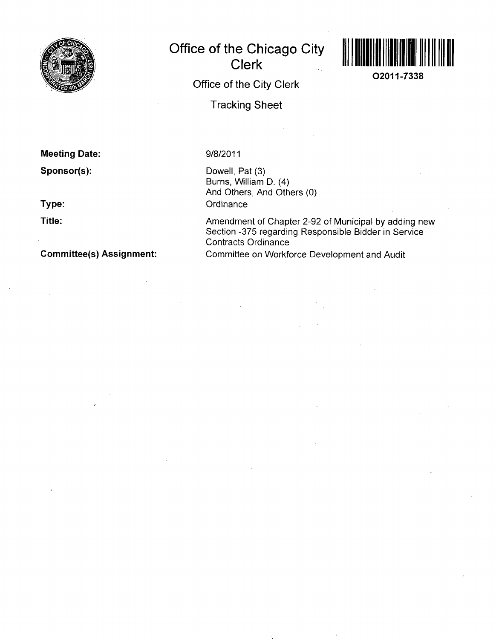

# **Office of the Chicago City Clerk**



**O2011-7338** 

**Office of the City Clerk** 

**Tracking Sheet** 

## **Meeting Date:**

**Sponsor(s):** 

**Type:** 

**Title:** 

**Committee(s) Assignment:** 

### **9/8/2011**

Dowell, Pat (3) Burns, William D. (4) And Others, And Others (0) **Ordinance** 

Amendment of Chapter 2-92 of Municipal by adding new Section -375 regarding Responsible Bidder in Service Contracts Ordinance Committee on Workforce Development and Audit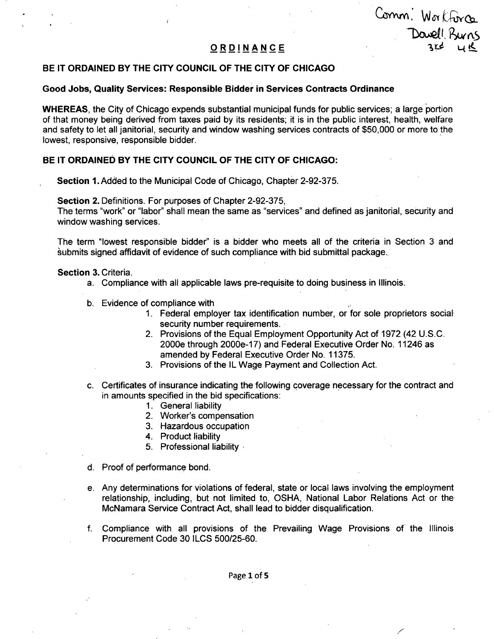Comm: Workforce Davell Burns

## **ORDINANC E 1,^ ^ i l**

#### **BE IT ORDAINED BY THE CITY COUNCIL OF THE CITY OF CHICAGO**

#### **Good Jobs, Quality Services: Responsible Bidder in Services Contracts Ordinance**

WHEREAS, the City of Chicago expends substantial municipal funds for public services; a large portion of that money being derived from taxes paid by its residents; it is in the public interest, health, welfare and safety to let all janitorial, security and window washing services contracts of \$50,000 or more to the lowest, responsive, responsible bidder.

#### BE IT ORDAINED BY THE CITY COUNCIL OF THE CITY OF CHICAGO:

Section 1. Added to the Municipal Code of Chicago, Chapter 2-92-375.

Section 2. Definitions. For purposes of Chapter 2-92-375,

The terms "work" or "labor" shall mean the same as "services" and defined as janitorial, security and window washing services.

The term "lowest responsible bidder" is a bidder who meets all of the criteria in Section 3 and submits signed affidavit of evidence of such compliance with bid submittal package.

#### Section 3. Criteria.

- a. Compliance with all applicable laws pre-requisite to doing business in Illinois.
- b. Evidence of compliance with
	- 1. Federal employer tax identification number, or for sole proprietors social security number requirements.
	- 2. Provisions of the Equal Employment Opportunity Act of 1972 (42 U.S.C. 2000e through 2000e-17) and Federal Executive Order No. 11246 as amended by Federal Executive Order No. 11375.
	- 3. Provisions of the IL Wage Payment and Collection Act.
- c. Certificates of insurance indicating the following coverage necessary for the contract and in amounts specified in the bid specifications:
	- 1. General liability
	- 2. Worker's compensation
	- 3. Hazardous occupation
	- 4. Product liability
	- 5. Professional liability
- d. Proof of performance bond.
- e. Any determinations for violations of federal, state or local laws involving the employment relationship, including, but not limited to, OSHA, National Labor Relations Act or the McNamara Service Contract Act, shall lead to bidder disqualification.
- f. Compliance with all provisions of the Prevailing Wage Provisions of the Illinois Procurement Code 30 ILCS 500/25-60.

Page 1 of 5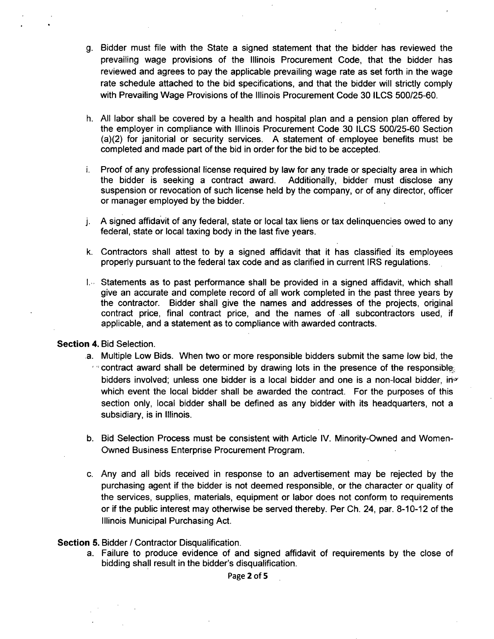- g. Bidder must file with the State a signed statement that the bidder has reviewed the prevailing wage provisions of the Illinois Procurement Code, that the bidder has reviewed and agrees to pay the applicable prevailing wage rate as set forth in the wage rate schedule attached to the bid specifications, and that the bidder will strictly comply with Prevailing Wage Provisions of the Illinois Procurement Code 30 ILCS 500/25-60.
- h. All labor shall be covered by a health and hospital plan and a pension plan offered by the employer in compliance with Illinois Procurement Code 30 ILCS 500/25-60 Section (a)(2) for janitorial or security services. A statement of employee benefits must be completed and made part of the bid in order for the bid to be accepted.
- i. Proof of any professional license required by law for any trade or specialty area in which the bidder is seeking a contract award. Additionally, bidder must disclose any suspension or revocation of such license held by the company, or of any director, officer or manager employed by the bidder.
- j. A signed affidavit of any federal, state or local tax liens or tax delinquencies owed to any federal, state or local taxing body in the last five years.
- k. Contractors shall attest to by a signed affidavit that it has classified its employees properly pursuant to the federal tax code and as clarified in current IRS regulations.
- $I_{\nu}$  Statements as to past performance shall be provided in a signed affidavit, which shall give an accurate and complete record of all work completed in the past three years by the contractor. Bidder shall give the names and addresses of the projects, original contract price, final contract price, and the names of all subcontractors used, if applicable, and a statement as to compliance with awarded contracts.

#### Section 4. Bid Selection.

- a. Multiple Low Bids. When two or more responsible bidders submit the same low bid, the  $\sim$  contract award shall be determined by drawing lots in the presence of the responsible; bidders involved; unless one bidder is a local bidder and one is a non-local bidder, inwhich event the local bidder shall be awarded the contract. For the purposes of this section only, local bidder shall be defined as any bidder with its headquarters, not a subsidiary, is in Illinois.
- b. Bid Selection Process must be consistent with Article IV. Minority-Owned and Women-Owned Business Enterprise Procurement Program.
- c. Any and all bids received in response to an advertisement may be rejected by the purchasing agent if the bidder is not deemed responsible, or the character or quality of the services, supplies, materials, equipment or labor does not conform to requirements or ifthe public interest may otherwise be served thereby. Per Ch. 24, par. 8-10-12 of the Illinois Municipal Purchasing Act.

#### Section 5. Bidder / Contractor Disqualification.

a. Failure to produce evidence of and signed affidavit of requirements by the close of bidding shall result in the bidder's disqualification.

Page 2 of 5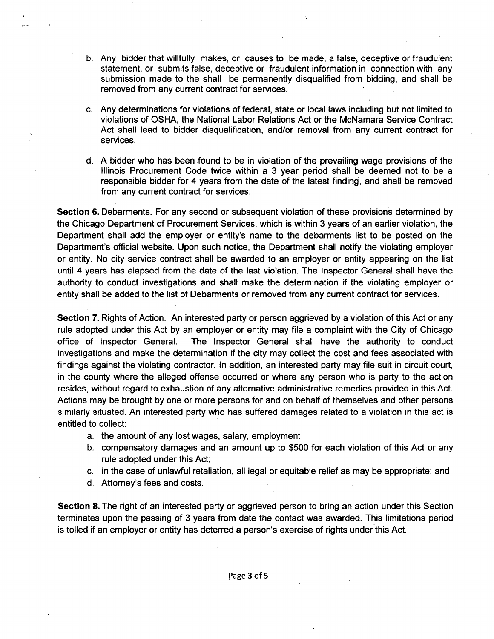- b. Any bidder that willfully makes, or causes to be made, a false, deceptive or fraudulent statement, or submits false, deceptive or fraudulent information in connection with any submission made to the shall be permanently disqualified from bidding, and shall be removed from any current contract for services.
- c. Any determinations for violations of federal, state or local laws including but not limited to violations of OSHA, the National Labor Relations Act or the McNamara Service Contract Act shall lead to bidder disqualification, and/or removal from any current contract for services.
- d. A bidder who has been found to be in violation of the prevailing wage provisions of the Illinois Procurement Code twice within a 3 year period shall be deemed not to be a responsible bidder for 4 years from the date of the latest finding, and shall be removed from any current contract for services.

Section 6. Debarments. For any second or subsequent violation of these provisions determined by the Chicago Department of Procurement Services, which is within 3 years of an earlier violation, the Department shall add the employer or entity's name to the debarments list to be posted on the Department's official website. Upon such notice, the Department shall notify the violating employer or entity. No city service contract shall be awarded to an employer or entity appearing on the list until 4 years has elapsed from the date of the last violation. The Inspector General shall have the authority to conduct investigations and shall make the determination if the violating employer or entity shall be added to the list of Debarments or removed from any current contract for services.

Section 7. Rights of Action. An interested party or person aggrieved by a violation of this Act or any rule adopted under this Act by an employer or entity may file a complaint with the City of Chicago office of Inspector General. The Inspector General shall have the authority to conduct investigations and make the determination if the city may collect the cost and fees associated with findings against the violating contractor. In addition, an interested party may file suit in circuit court, in the county where the alleged offense occurred or where any person who is party to the action resides, without regard to exhaustion of any alternative administrative remedies provided in this Act. Actions may be brought by one or more persons for and on behalf of themselves and other persons similarly situated. An interested party who has suffered damages related to a violation in this act is entitled to collect:

- a. the amount of any lost wages, salary, employment
- b. compensatory damages and an amount up to \$500 for each violation of this Act or any rule adopted under this Act;
- c. in the case of unlawful retaliation, all legal or equitable relief as may be appropriate; and
- d. Attorney's fees and costs.

Section 8. The right of an interested party or aggrieved person to bring an action under this Section terminates upon the passing of 3 years from date the contact was awarded. This limitations period is tolled if an employer or entity has deterred a person's exercise of rights under this Act.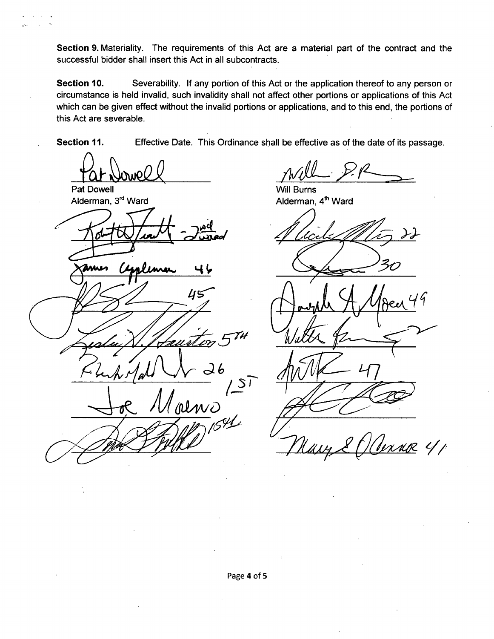Section 9. Materiality. The requirements of this Act are a material part of the contract and the successful bidder shall insert this Act in all subcontracts.

Section 10. Severability. If any portion of this Act or the application thereof to any person or circumstance is held invalid, such invalidity shall not affect other portions or applications of this Act which can be given effect without the invalid portions or applications, and to this end, the portions of this Act are severable.

Section 11. Effective Date. This Ordinance shall be effective as of the date of its passage.

Pat Dowell

Alderman, 3<sup>ro</sup> Ward

ЦS  $\frac{1}{2}$ almo Т

Will Burns Alderman, 4<sup>th</sup> Ward

 $MIR$   $4/1$ Nas

Page 4 of 5